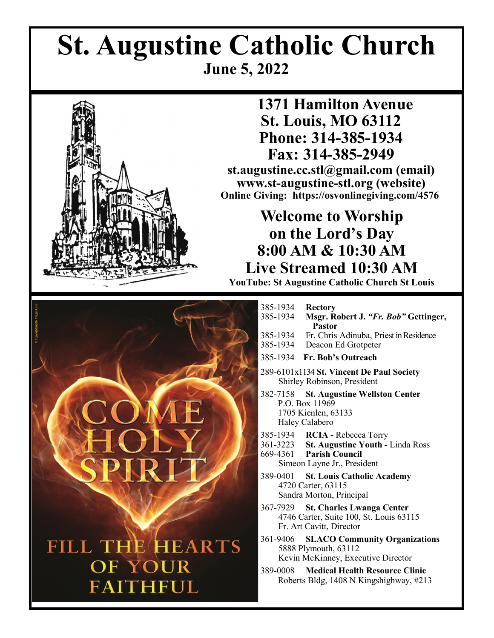# **St. Augustine Catholic Church June 5, 2022**



 **1371 Hamilton Avenue St. Louis, MO 63112 Phone: 314-385-1934 Fax: 314-385-2949 st.augustine.cc.stl@gmail.com (email) www.st-augustine-stl.org (website)**

**Online Giving: https://osvonlinegiving.com/4576**

# **Welcome to Worship on the Lord's Day 8:00 AM & 10:30 AM Live Streamed 10:30 AM**

**YouTube: St Augustine Catholic Church St Louis**



| 385-1934<br>385-1934             | <b>Rectory</b><br>Msgr. Robert J. "Fr. Bob" Gettinger,<br><b>Pastor</b>                                   |
|----------------------------------|-----------------------------------------------------------------------------------------------------------|
| 385-1934<br>385-1934             | Fr. Chris Adinuba, Priest in Residence<br>Deacon Ed Grotpeter                                             |
| 385-1934                         | Fr. Bob's Outreach                                                                                        |
|                                  | 289-6101x1134 St. Vincent De Paul Society<br>Shirley Robinson, President                                  |
| P.O. Box 11969<br>Haley Calabero | 382-7158 St. Augustine Wellston Center<br>1705 Kienlen, 63133                                             |
| 669-4361 Parish Council          | 385-1934 RCIA - Rebecca Torry<br>361-3223 St. Augustine Youth - Linda Ross<br>Simeon Layne Jr., President |
|                                  | 389-0401 St. Louis Catholic Academy<br>4720 Carter, 63115<br>Sandra Morton, Principal                     |
|                                  | 367-7929 St. Charles Lwanga Center<br>4746 Carter, Suite 100, St. Louis 63115<br>Fr. Art Cavitt, Director |
|                                  | 361-9406 SLACO Community Organizations<br>5888 Plymouth, 63112<br>Kevin McKinney, Executive Director      |
| 389-0008                         | <b>Medical Health Resource Clinic</b><br>Roberts Bldg, 1408 N Kingshighway, #213                          |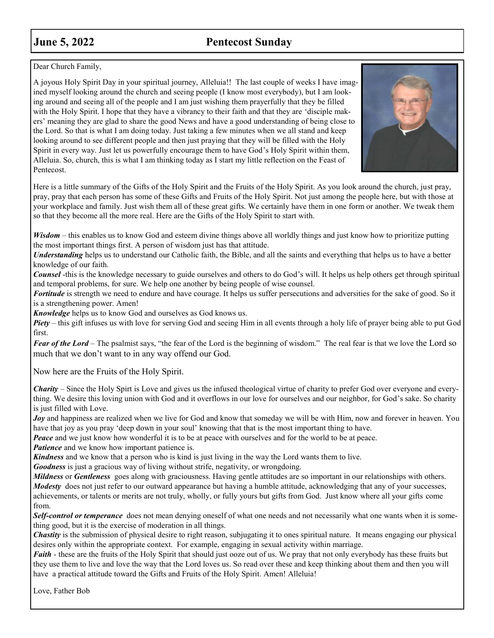# **June 5, 2022** Pentecost Sunday

Dear Church Family,

A joyous Holy Spirit Day in your spiritual journey, Alleluia!! The last couple of weeks I have imagined myself looking around the church and seeing people (I know most everybody), but I am looking around and seeing all of the people and I am just wishing them prayerfully that they be filled with the Holy Spirit. I hope that they have a vibrancy to their faith and that they are 'disciple makers' meaning they are glad to share the good News and have a good understanding of being close to the Lord. So that is what I am doing today. Just taking a few minutes when we all stand and keep looking around to see different people and then just praying that they will be filled with the Holy Spirit in every way. Just let us powerfully encourage them to have God's Holy Spirit within them, Alleluia. So, church, this is what I am thinking today as I start my little reflection on the Feast of Pentecost.



Here is a little summary of the Gifts of the Holy Spirit and the Fruits of the Holy Spirit. As you look around the church, just pray, pray, pray that each person has some of these Gifts and Fruits of the Holy Spirit. Not just among the people here, but with those at your workplace and family. Just wish them all of these great gifts. We certainly have them in one form or another. We tweak them so that they become all the more real. Here are the Gifts of the Holy Spirit to start with.

*Wisdom* – this enables us to know God and esteem divine things above all worldly things and just know how to prioritize putting the most important things first. A person of wisdom just has that attitude.

*Understanding* helps us to understand our Catholic faith, the Bible, and all the saints and everything that helps us to have a better knowledge of our faith.

*Counsel* -this is the knowledge necessary to guide ourselves and others to do God's will. It helps us help others get through spiritual and temporal problems, for sure. We help one another by being people of wise counsel.

*Fortitude* is strength we need to endure and have courage. It helps us suffer persecutions and adversities for the sake of good. So it is a strengthening power. Amen!

*Knowledge* helps us to know God and ourselves as God knows us.

*Piety* – this gift infuses us with love for serving God and seeing Him in all events through a holy life of prayer being able to put God first.

*Fear of the Lord* – The psalmist says, "the fear of the Lord is the beginning of wisdom." The real fear is that we love the Lord so much that we don't want to in any way offend our God.

Now here are the Fruits of the Holy Spirit.

*Charity* – Since the Holy Spirt is Love and gives us the infused theological virtue of charity to prefer God over everyone and everything. We desire this loving union with God and it overflows in our love for ourselves and our neighbor, for God's sake. So charity is just filled with Love.

*Joy* and happiness are realized when we live for God and know that someday we will be with Him, now and forever in heaven. You have that joy as you pray 'deep down in your soul' knowing that that is the most important thing to have.

*Peace* and we just know how wonderful it is to be at peace with ourselves and for the world to be at peace.

*Patience* and we know how important patience is.

*Kindness* and we know that a person who is kind is just living in the way the Lord wants them to live.

*Goodness* is just a gracious way of living without strife, negativity, or wrongdoing.

*Mildness* or *Gentleness* goes along with graciousness. Having gentle attitudes are so important in our relationships with others. *Modesty* does not just refer to our outward appearance but having a humble attitude, acknowledging that any of your successes, achievements, or talents or merits are not truly, wholly, or fully yours but gifts from God. Just know where all your gifts come from.

*Self-control or temperance* does not mean denying oneself of what one needs and not necessarily what one wants when it is something good, but it is the exercise of moderation in all things.

*Chastity* is the submission of physical desire to right reason, subjugating it to ones spiritual nature. It means engaging our physical desires only within the appropriate context. For example, engaging in sexual activity within marriage.

*Faith* - these are the fruits of the Holy Spirit that should just ooze out of us. We pray that not only everybody has these fruits but they use them to live and love the way that the Lord loves us. So read over these and keep thinking about them and then you will have a practical attitude toward the Gifts and Fruits of the Holy Spirit. Amen! Alleluia!

Love, Father Bob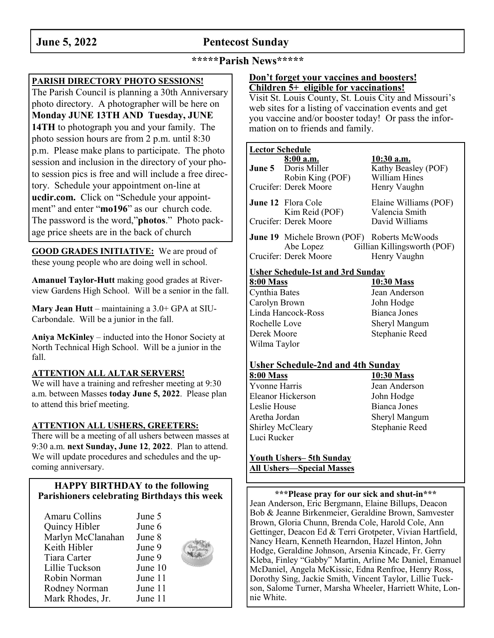# **June 5, 2022** Pentecost Sunday

### **\*\*\*\*\*Parish News\*\*\*\*\***

### **PARISH DIRECTORY PHOTO SESSIONS!**

The Parish Council is planning a 30th Anniversary photo directory. A photographer will be here on **Monday JUNE 13TH AND Tuesday, JUNE 14TH** to photograph you and your family. The photo session hours are from 2 p.m. until 8:30 p.m. Please make plans to participate. The photo session and inclusion in the directory of your photo session pics is free and will include a free directory. Schedule your appointment on-line at **ucdir.com.** Click on "Schedule your appointment" and enter "**mo196**" as our church code. The password is the word,"**photos**." Photo package price sheets are in the back of church

**GOOD GRADES INITIATIVE:** We are proud of these young people who are doing well in school.

**Amanuel Taylor-Hutt** making good grades at Riverview Gardens High School. Will be a senior in the fall.

**Mary Jean Hutt** – maintaining a 3.0+ GPA at SIU-Carbondale. Will be a junior in the fall.

**Aniya McKinley** – inducted into the Honor Society at North Technical High School. Will be a junior in the fall.

#### **ATTENTION ALL ALTAR SERVERS!**

We will have a training and refresher meeting at 9:30 a.m. between Masses **today June 5, 2022**. Please plan to attend this brief meeting.

#### **ATTENTION ALL USHERS, GREETERS:**

There will be a meeting of all ushers between masses at 9:30 a.m. **next Sunday, June 12**, **2022**. Plan to attend. We will update procedures and schedules and the upcoming anniversary.

#### **HAPPY BIRTHDAY to the following Parishioners celebrating Birthdays this week**

| Amaru Collins     | June 5  |  |
|-------------------|---------|--|
| Quincy Hibler     | June 6  |  |
| Marlyn McClanahan | June 8  |  |
| Keith Hibler      | June 9  |  |
| Tiara Carter      | June 9  |  |
| Lillie Tuckson    | June 10 |  |
| Robin Norman      | June 11 |  |
| Rodney Norman     | June 11 |  |
| Mark Rhodes, Jr.  | June 11 |  |

#### **Don't forget your vaccines and boosters! Children 5+ eligible for vaccinations!**

Visit St. Louis County, St. Louis City and Missouri's web sites for a listing of vaccination events and get you vaccine and/or booster today! Or pass the information on to friends and family.

#### **Lector Schedule**

| 8:00 a.m.                                          | 10:30 a.m.                  |
|----------------------------------------------------|-----------------------------|
| June 5 Doris Miller                                | Kathy Beasley (POF)         |
| Robin King (POF)                                   | William Hines               |
| Crucifer: Derek Moore                              | Henry Vaughn                |
| June 12 Flora Cole                                 | Elaine Williams (POF)       |
| Kim Reid (POF)                                     | Valencia Smith              |
| Crucifer: Derek Moore                              | David Williams              |
| <b>June 19</b> Michele Brown (POF) Roberts McWoods |                             |
| Abe Lopez                                          | Gillian Killingsworth (POF) |
| Crucifer: Derek Moore                              | Henry Vaughn                |

#### **Usher Schedule-1st and 3rd Sunday**

| 8:00 Mass          |  |
|--------------------|--|
| Cynthia Bates      |  |
| Carolyn Brown      |  |
| Linda Hancock-Ross |  |
| Rochelle Love      |  |
| Derek Moore        |  |
| Wilma Taylor       |  |

**8:00 Mass 10:30 Mass** Jean Anderson John Hodge Bianca Jones **Sheryl Mangum** Stephanie Reed

#### **Usher Schedule-2nd and 4th Sunday**

**8:00 Mass 10:30 Mass** Yvonne Harris Jean Anderson Eleanor Hickerson John Hodge Leslie House Bianca Jones Aretha Jordan Sheryl Mangum Shirley McCleary Stephanie Reed Luci Rucker

#### **Youth Ushers– 5th Sunday All Ushers—Special Masses**

**\*\*\*Please pray for our sick and shut-in\*\*\*** Jean Anderson, Eric Bergmann, Elaine Billups, Deacon Bob & Jeanne Birkenmeier, Geraldine Brown, Samvester Brown, Gloria Chunn, Brenda Cole, Harold Cole, Ann Gettinger, Deacon Ed & Terri Grotpeter, Vivian Hartfield, Nancy Hearn, Kenneth Hearndon, Hazel Hinton, John Hodge, Geraldine Johnson, Arsenia Kincade, Fr. Gerry Kleba, Finley "Gabby" Martin, Arline Mc Daniel, Emanuel McDaniel, Angela McKissic, Edna Renfroe, Henry Ross, Dorothy Sing, Jackie Smith, Vincent Taylor, Lillie Tuckson, Salome Turner, Marsha Wheeler, Harriett White, Lonnie White.